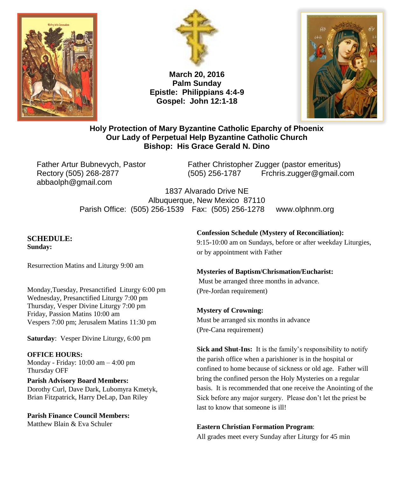



**March 20, 2016 Palm Sunday Epistle: Philippians 4:4-9 Gospel: John 12:1-18**



### **Holy Protection of Mary Byzantine Catholic Eparchy of Phoenix Our Lady of Perpetual Help Byzantine Catholic Church Bishop: His Grace Gerald N. Dino**

abbaolph@gmail.com

Father Artur Bubnevych, Pastor Father Christopher Zugger (pastor emeritus) Rectory (505) 268-2877 (505) 256-1787 Frchris.zugger@gmail.com

> 1837 Alvarado Drive NE Albuquerque, New Mexico 87110 Parish Office: (505) 256-1539 Fax: (505) 256-1278 www.olphnm.org

#### **SCHEDULE: Sunday:**

Resurrection Matins and Liturgy 9:00 am

Monday,Tuesday, Presanctified Liturgy 6:00 pm Wednesday, Presanctified Liturgy 7:00 pm Thursday, Vesper Divine Liturgy 7:00 pm Friday, Passion Matins 10:00 am Vespers 7:00 pm; Jerusalem Matins 11:30 pm

**Saturday**: Vesper Divine Liturgy, 6:00 pm

**OFFICE HOURS:**

Monday - Friday: 10:00 am – 4:00 pm Thursday OFF

**Parish Advisory Board Members:** Dorothy Curl, Dave Dark, Lubomyra Kmetyk, Brian Fitzpatrick, Harry DeLap, Dan Riley

**Parish Finance Council Members:** Matthew Blain & Eva Schuler

### **Confession Schedule (Mystery of Reconciliation):**

9:15-10:00 am on Sundays, before or after weekday Liturgies, or by appointment with Father

### **Mysteries of Baptism/Chrismation/Eucharist:** Must be arranged three months in advance. (Pre-Jordan requirement)

# **Mystery of Crowning:**

Must be arranged six months in advance (Pre-Cana requirement)

**Sick and Shut-Ins:** It is the family's responsibility to notify the parish office when a parishioner is in the hospital or confined to home because of sickness or old age. Father will bring the confined person the Holy Mysteries on a regular basis. It is recommended that one receive the Anointing of the Sick before any major surgery. Please don't let the priest be last to know that someone is ill!

### **Eastern Christian Formation Program**:

All grades meet every Sunday after Liturgy for 45 min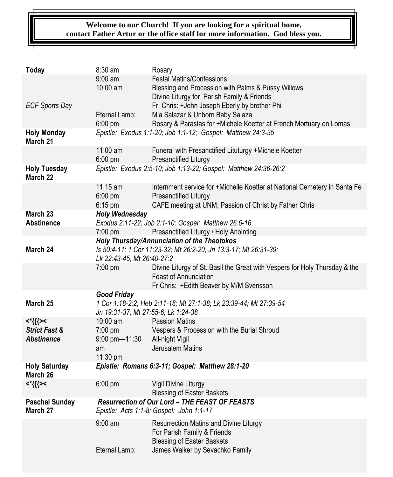## **Welcome to our Church! If you are looking for a spiritual home, contact Father Artur or the office staff for more information. God bless you.**

| <b>Today</b>                      | 8:30 am                                                                                                  | Rosary                                                                                                     |
|-----------------------------------|----------------------------------------------------------------------------------------------------------|------------------------------------------------------------------------------------------------------------|
|                                   | $9:00 \text{ am}$                                                                                        | <b>Festal Matins/Confessions</b>                                                                           |
|                                   | 10:00 am                                                                                                 | Blessing and Procession with Palms & Pussy Willows<br>Divine Liturgy for Parish Family & Friends           |
| <b>ECF Sports Day</b>             |                                                                                                          | Fr. Chris: +John Joseph Eberly by brother Phil                                                             |
|                                   | Eternal Lamp:                                                                                            | Mia Salazar & Unborn Baby Salaza                                                                           |
|                                   | 6:00 pm                                                                                                  | Rosary & Parastas for +Michele Koetter at French Mortuary on Lomas                                         |
| <b>Holy Monday</b><br>March 21    | Epistle: Exodus 1:1-20; Job 1:1-12; Gospel: Matthew 24:3-35                                              |                                                                                                            |
|                                   | $11:00$ am<br>6:00 pm                                                                                    | Funeral with Presanctified Lituturgy +Michele Koetter                                                      |
| <b>Holy Tuesday</b>               |                                                                                                          | Presanctified Liturgy<br>Epistle: Exodus 2:5-10; Job 1:13-22; Gospel: Matthew 24:36-26:2                   |
| March 22                          |                                                                                                          |                                                                                                            |
|                                   | 11.15 am                                                                                                 | Internment service for +Michelle Koetter at National Cemetery in Santa Fe                                  |
|                                   | 6:00 pm                                                                                                  | Presanctified Liturgy                                                                                      |
| March 23                          | 6:15 pm<br><b>Holy Wednesday</b>                                                                         | CAFE meeting at UNM; Passion of Christ by Father Chris                                                     |
| <b>Abstinence</b>                 |                                                                                                          | Exodus 2:11-22; Job 2:1-10; Gospel: Matthew 26:6-16                                                        |
|                                   | 7:00 pm                                                                                                  | Presanctified Liturgy / Holy Anointing                                                                     |
|                                   | Holy Thursday/Annunciation of the Theotokos                                                              |                                                                                                            |
| March 24                          | Is 50:4-11; 1 Cor 11:23-32; Mt 26:2-20; Jn 13:3-17; Mt 26:31-39;<br>Lk 22:43-45; Mt 26:40-27:2           |                                                                                                            |
|                                   | 7:00 pm                                                                                                  | Divine Liturgy of St. Basil the Great with Vespers for Holy Thursday & the<br>Feast of Annunciation        |
|                                   |                                                                                                          | Fr Chris: +Edith Beaver by M/M Svensson                                                                    |
|                                   | <b>Good Friday</b>                                                                                       |                                                                                                            |
| March 25                          | 1 Cor 1:18-2:2; Heb 2:11-18; Mt 27:1-38; Lk 23:39-44; Mt 27:39-54<br>Jn 19:31-37; Mt 27:55-6; Lk 1:24-38 |                                                                                                            |
| <*{{{><                           | 10:00 am                                                                                                 | <b>Passion Matins</b>                                                                                      |
| <b>Strict Fast &amp;</b>          | 7:00 pm                                                                                                  | Vespers & Procession with the Burial Shroud                                                                |
| <b>Abstinence</b>                 | 9:00 pm-11:30<br>am                                                                                      | All-night Vigil<br>Jerusalem Matins                                                                        |
|                                   | 11:30 pm                                                                                                 |                                                                                                            |
| <b>Holy Saturday</b>              | Epistle: Romans 6:3-11; Gospel: Matthew 28:1-20                                                          |                                                                                                            |
| March 26                          |                                                                                                          |                                                                                                            |
| <*{{{><                           | 6:00 pm                                                                                                  | Vigil Divine Liturgy<br><b>Blessing of Easter Baskets</b>                                                  |
| <b>Paschal Sunday</b><br>March 27 | Resurrection of Our Lord - THE FEAST OF FEASTS<br>Epistle: Acts 1:1-8; Gospel: John 1:1-17               |                                                                                                            |
|                                   | $9:00$ am                                                                                                | Resurrection Matins and Divine Liturgy<br>For Parish Family & Friends<br><b>Blessing of Easter Baskets</b> |
|                                   | Eternal Lamp:                                                                                            | James Walker by Sevachko Family                                                                            |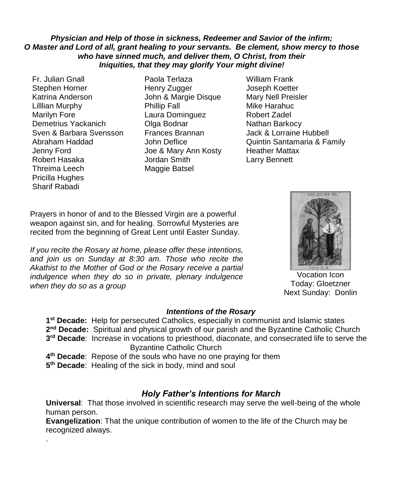### *Physician and Help of those in sickness, Redeemer and Savior of the infirm; O Master and Lord of all, grant healing to your servants. Be clement, show mercy to those who have sinned much, and deliver them, O Christ, from their Iniquities, that they may glorify Your might divine!*

Fr. Julian Gnall Paola Terlaza William Frank Stephen Horner **Henry Zugger** Joseph Koetter Katrina Anderson John & Margie Disque Mary Nell Preisler Lilllian Murphy Phillip Fall Mike Harahuc Marilyn Fore **Laura Dominguez** Robert Zadel Demetrius Yackanich **Olga Bodnar** Nathan Barkocy Sven & Barbara Svensson Frances Brannan Jack & Lorraine Hubbell Jenny Ford Joe & Mary Ann Kosty Heather Mattax Robert Hasaka Jordan Smith Larry Bennett Threima Leech Maggie Batsel Pricilla Hughes Sharif Rabadi

.

- 
- Abraham Haddad **John Deflice Quintin Santamaria & Family**

Prayers in honor of and to the Blessed Virgin are a powerful weapon against sin, and for healing. Sorrowful Mysteries are recited from the beginning of Great Lent until Easter Sunday.

*If you recite the Rosary at home, please offer these intentions, and join us on Sunday at 8:30 am. Those who recite the Akathist to the Mother of God or the Rosary receive a partial indulgence when they do so in private, plenary indulgence when they do so as a group*



Vocation Icon Today: Gloetzner Next Sunday: Donlin

### *Intentions of the Rosary*

**1 st Decade:** Help for persecuted Catholics, especially in communist and Islamic states 2<sup>nd</sup> Decade: Spiritual and physical growth of our parish and the Byzantine Catholic Church **3 rd Decade**: Increase in vocations to priesthood, diaconate, and consecrated life to serve the Byzantine Catholic Church

- **4 th Decade**: Repose of the souls who have no one praying for them
- **5 th Decade**: Healing of the sick in body, mind and soul

## *Holy Father's Intentions for March*

**Universal**: That those involved in scientific research may serve the well-being of the whole human person.

**Evangelization**: That the unique contribution of women to the life of the Church may be recognized always.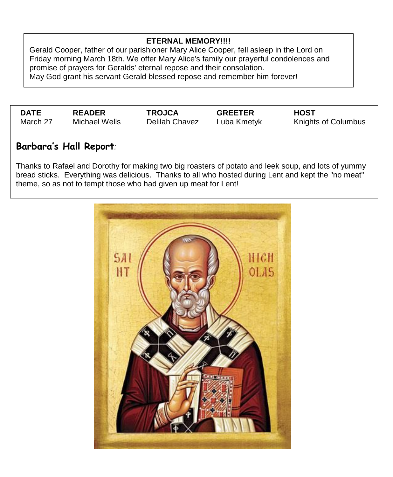### **ETERNAL MEMORY!!!!**

Gerald Cooper, father of our parishioner Mary Alice Cooper, fell asleep in the Lord on Friday morning March 18th. We offer Mary Alice's family our prayerful condolences and promise of prayers for Geralds' eternal repose and their consolation. May God grant his servant Gerald blessed repose and remember him forever!

**DATE READER TROJCA GREETER HOST**

Delilah Chavez Luba Kmetyk Knights of Columbus

# **Barbara's Hall Report***:*

Thanks to Rafael and Dorothy for making two big roasters of potato and leek soup, and lots of yummy bread sticks. Everything was delicious. Thanks to all who hosted during Lent and kept the "no meat" theme, so as not to tempt those who had given up meat for Lent!

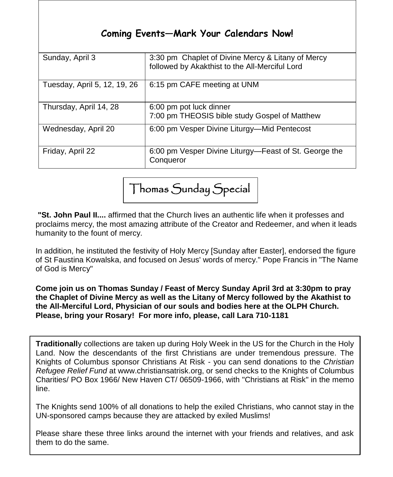# **Coming Events—Mark Your Calendars Now!**

| Sunday, April 3              | 3:30 pm Chaplet of Divine Mercy & Litany of Mercy<br>followed by Akakthist to the All-Merciful Lord |
|------------------------------|-----------------------------------------------------------------------------------------------------|
| Tuesday, April 5, 12, 19, 26 | 6:15 pm CAFE meeting at UNM                                                                         |
| Thursday, April 14, 28       | 6:00 pm pot luck dinner<br>7:00 pm THEOSIS bible study Gospel of Matthew                            |
| Wednesday, April 20          | 6:00 pm Vesper Divine Liturgy—Mid Pentecost                                                         |
| Friday, April 22             | 6:00 pm Vesper Divine Liturgy-Feast of St. George the<br>Conqueror                                  |

Thomas Sunday Special

**"St. John Paul II....** affirmed that the Church lives an authentic life when it professes and proclaims mercy, the most amazing attribute of the Creator and Redeemer, and when it leads humanity to the fount of mercy.

In addition, he instituted the festivity of Holy Mercy [Sunday after Easter], endorsed the figure of St Faustina Kowalska, and focused on Jesus' words of mercy." Pope Francis in "The Name of God is Mercy"

. **Please, bring your Rosary! For more info, please, call Lara 710-1181 Come join us on Thomas Sunday / Feast of Mercy Sunday April 3rd at 3:30pm to pray the Chaplet of Divine Mercy as well as the Litany of Mercy followed by the Akathist to the All-Merciful Lord, Physician of our souls and bodies here at the OLPH Church.** 

**Traditionall**y collections are taken up during Holy Week in the US for the Church in the Holy Land. Now the descendants of the first Christians are under tremendous pressure. The Knights of Columbus sponsor Christians At Risk - you can send donations to the *Christian Refugee Relief Fund* at www.christiansatrisk.org, or send checks to the Knights of Columbus Charities/ PO Box 1966/ New Haven CT/ 06509-1966, with "Christians at Risk" in the memo line.

The Knights send 100% of all donations to help the exiled Christians, who cannot stay in the UN-sponsored camps because they are attacked by exiled Muslims!

Please share these three links around the internet with your friends and relatives, and ask them to do the same.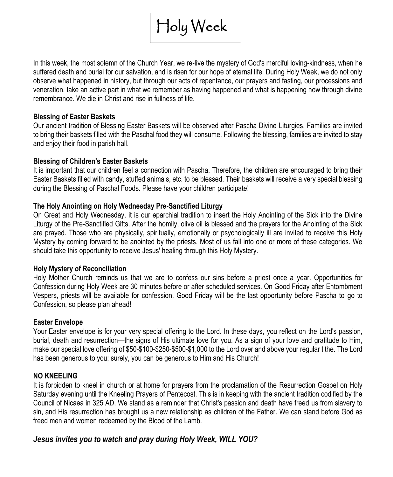

In this week, the most solemn of the Church Year, we re-live the mystery of God's merciful loving-kindness, when he suffered death and burial for our salvation, and is risen for our hope of eternal life. During Holy Week, we do not only observe what happened in history, but through our acts of repentance, our prayers and fasting, our processions and veneration, take an active part in what we remember as having happened and what is happening now through divine remembrance. We die in Christ and rise in fullness of life.

### **Blessing of Easter Baskets**

Our ancient tradition of Blessing Easter Baskets will be observed after Pascha Divine Liturgies. Families are invited to bring their baskets filled with the Paschal food they will consume. Following the blessing, families are invited to stay and enjoy their food in parish hall.

### **Blessing of Children's Easter Baskets**

It is important that our children feel a connection with Pascha. Therefore, the children are encouraged to bring their Easter Baskets filled with candy, stuffed animals, etc. to be blessed. Their baskets will receive a very special blessing during the Blessing of Paschal Foods. Please have your children participate!

### **The Holy Anointing on Holy Wednesday Pre-Sanctified Liturgy**

On Great and Holy Wednesday, it is our eparchial tradition to insert the Holy Anointing of the Sick into the Divine Liturgy of the Pre-Sanctified Gifts. After the homily, olive oil is blessed and the prayers for the Anointing of the Sick are prayed. Those who are physically, spiritually, emotionally or psychologically ill are invited to receive this Holy Mystery by coming forward to be anointed by the priests. Most of us fall into one or more of these categories. We should take this opportunity to receive Jesus' healing through this Holy Mystery.

### **Holy Mystery of Reconciliation**

Holy Mother Church reminds us that we are to confess our sins before a priest once a year. Opportunities for Confession during Holy Week are 30 minutes before or after scheduled services. On Good Friday after Entombment Vespers, priests will be available for confession. Good Friday will be the last opportunity before Pascha to go to Confession, so please plan ahead!

### **Easter Envelope**

Your Easter envelope is for your very special offering to the Lord. In these days, you reflect on the Lord's passion, burial, death and resurrection—the signs of His ultimate love for you. As a sign of your love and gratitude to Him, make our special love offering of \$50-\$100-\$250-\$500-\$1,000 to the Lord over and above your regular tithe. The Lord has been generous to you; surely, you can be generous to Him and His Church!

### **NO KNEELING**

It is forbidden to kneel in church or at home for prayers from the proclamation of the Resurrection Gospel on Holy Saturday evening until the Kneeling Prayers of Pentecost. This is in keeping with the ancient tradition codified by the Council of Nicaea in 325 AD. We stand as a reminder that Christ's passion and death have freed us from slavery to sin, and His resurrection has brought us a new relationship as children of the Father. We can stand before God as freed men and women redeemed by the Blood of the Lamb.

### *Jesus invites you to watch and pray during Holy Week, WILL YOU?*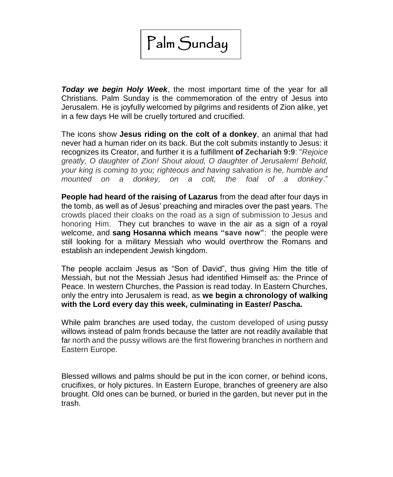# Palm Sunday

*Today we begin Holy Week*, the most important time of the year for all Christians. Palm Sunday is the commemoration of the entry of Jesus into Jerusalem. He is joyfully welcomed by pilgrims and residents of Zion alike, yet in a few days He will be cruelly tortured and crucified.

The icons show **Jesus riding on the colt of a donkey**, an animal that had never had a human rider on its back. But the colt submits instantly to Jesus: it recognizes its Creator, and further it is a fulfillment **of Zechariah 9:9**: "*Rejoice greatly, O daughter of Zion! Shout aloud, O daughter of Jerusalem! Behold, your king is coming to you; righteous and having salvation is he, humble and mounted on a donkey, on a colt, the foal of a d[onkey](http://en.wikipedia.org/wiki/Pussy_willow)*."

**[People](http://en.wikipedia.org/wiki/Pussy_willow) had heard of the raising of Lazarus** from the dead after four days in the tomb, as well as of Jesus' preaching and miracles over the past years. The crowds placed their cloaks on the road as a sign of submission to Jesus and honoring Him. They cut branches to wave in the air as a sign of a royal welcome, and **sang Hosanna which means "save now"**: the people were still looking for a military Messiah who would overthrow the Romans and establish an independent Jewish kingdom.

The people acclaim Jesus as "Son of David", thus giving Him the title of Messiah, but not the Messiah Jesus had identified Himself as: the Prince of Peace. In western Churches, the Passion is read today. In Eastern Churches, only the entry into Jerusalem is read, as **we begin a chronology of walking with the Lord every day this week, culminating in Easter/ Pascha.**

While palm branches are used today, the custom developed of using pussy willows instead of palm fronds because the latter are not readily available that far north and the pussy willows are the first flowering branches in northern and Eastern Europe.

Blessed willows and palms should be put in the icon corner, or behind icons, crucifixes, or holy pictures. In Eastern Europe, branches of greenery are also brought. Old ones can be burned, or buried in the garden, but never put in the trash.